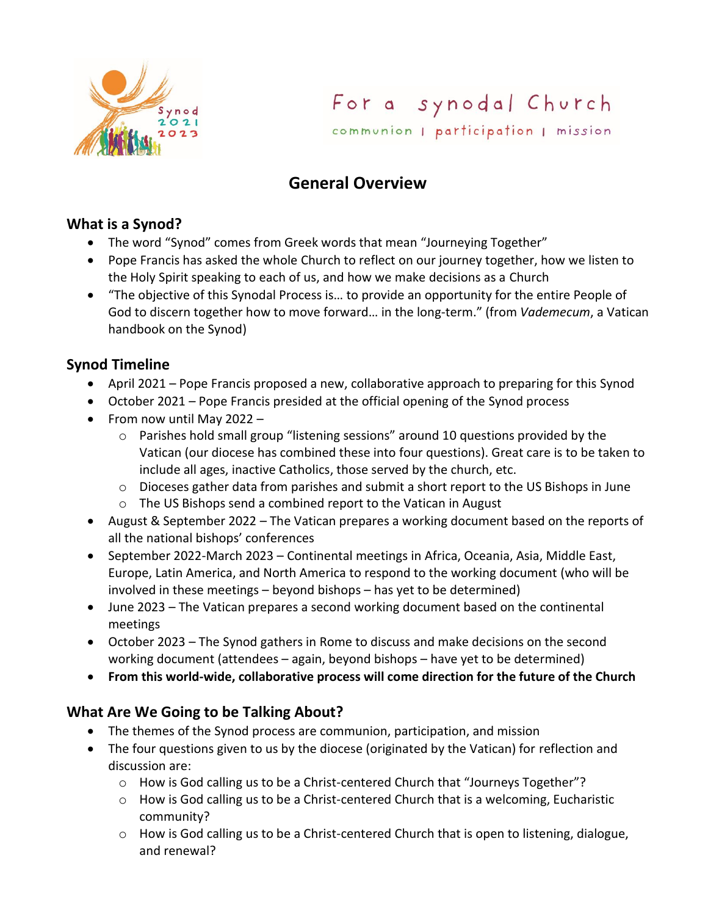

For a synodal Church communion | participation | mission

# **General Overview**

#### **What is a Synod?**

- The word "Synod" comes from Greek words that mean "Journeying Together"
- Pope Francis has asked the whole Church to reflect on our journey together, how we listen to the Holy Spirit speaking to each of us, and how we make decisions as a Church
- "The objective of this Synodal Process is… to provide an opportunity for the entire People of God to discern together how to move forward… in the long-term." (from *Vademecum*, a Vatican handbook on the Synod)

## **Synod Timeline**

- April 2021 Pope Francis proposed a new, collaborative approach to preparing for this Synod
- October 2021 Pope Francis presided at the official opening of the Synod process
- From now until May 2022
	- $\circ$  Parishes hold small group "listening sessions" around 10 questions provided by the Vatican (our diocese has combined these into four questions). Great care is to be taken to include all ages, inactive Catholics, those served by the church, etc.
	- o Dioceses gather data from parishes and submit a short report to the US Bishops in June
	- o The US Bishops send a combined report to the Vatican in August
- August & September 2022 The Vatican prepares a working document based on the reports of all the national bishops' conferences
- September 2022-March 2023 Continental meetings in Africa, Oceania, Asia, Middle East, Europe, Latin America, and North America to respond to the working document (who will be involved in these meetings – beyond bishops – has yet to be determined)
- June 2023 The Vatican prepares a second working document based on the continental meetings
- October 2023 The Synod gathers in Rome to discuss and make decisions on the second working document (attendees – again, beyond bishops – have yet to be determined)
- **From this world-wide, collaborative process will come direction for the future of the Church**

#### **What Are We Going to be Talking About?**

- The themes of the Synod process are communion, participation, and mission
- The four questions given to us by the diocese (originated by the Vatican) for reflection and discussion are:
	- o How is God calling us to be a Christ-centered Church that "Journeys Together"?
	- $\circ$  How is God calling us to be a Christ-centered Church that is a welcoming, Eucharistic community?
	- o How is God calling us to be a Christ-centered Church that is open to listening, dialogue, and renewal?